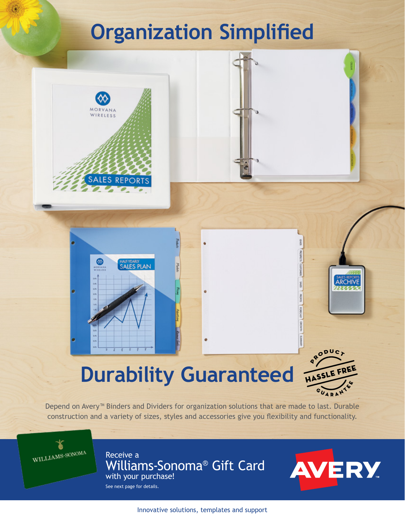# **Organization Simplified**



PRODUC HASSI

**ARCHIVE** 

Depend on Avery<sup>™</sup> Binders and Dividers for organization solutions that are made to last. Durable construction and a variety of sizes, styles and accessories give you flexibility and functionality.

WILLIAMS-SONOMA

Receive a Williams-Sonoma® Gift Card with your purchase!

See next page for details.